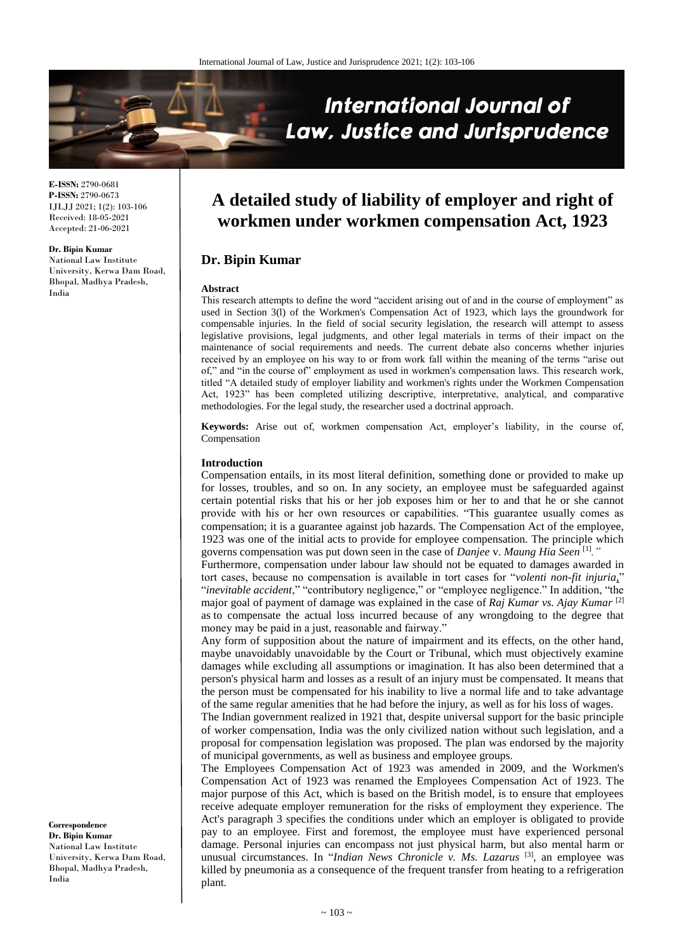

**E-ISSN:** 2790-0681 **P-ISSN:** 2790-0673 IJLJJ 2021; 1(2): 103-106 Received: 18-05-2021 Accepted: 21-06-2021

**Dr. Bipin Kumar**

National Law Institute University, Kerwa Dam Road, Bhopal, Madhya Pradesh, India

# **A detailed study of liability of employer and right of workmen under workmen compensation Act, 1923**

# **Dr. Bipin Kumar**

#### **Abstract**

This research attempts to define the word "accident arising out of and in the course of employment" as used in Section 3(l) of the Workmen's Compensation Act of 1923, which lays the groundwork for compensable injuries. In the field of social security legislation, the research will attempt to assess legislative provisions, legal judgments, and other legal materials in terms of their impact on the maintenance of social requirements and needs. The current debate also concerns whether injuries received by an employee on his way to or from work fall within the meaning of the terms "arise out of," and "in the course of" employment as used in workmen's compensation laws. This research work, titled "A detailed study of employer liability and workmen's rights under the Workmen Compensation Act, 1923" has been completed utilizing descriptive, interpretative, analytical, and comparative methodologies. For the legal study, the researcher used a doctrinal approach.

**Keywords:** Arise out of, workmen compensation Act, employer's liability, in the course of, Compensation

#### **Introduction**

Compensation entails, in its most literal definition, something done or provided to make up for losses, troubles, and so on. In any society, an employee must be safeguarded against certain potential risks that his or her job exposes him or her to and that he or she cannot provide with his or her own resources or capabilities. "This guarantee usually comes as compensation; it is a guarantee against job hazards. The Compensation Act of the employee, 1923 was one of the initial acts to provide for employee compensation. The principle which governs compensation was put down seen in the case of *Danjee* v. *Maung Hia Seen* [1] *."*

Furthermore, compensation under labour law should not be equated to damages awarded in tort cases, because no compensation is available in tort cases for "*volenti non-fit injuria*," "*inevitable accident*," "contributory negligence," or "employee negligence." In addition, "the major goal of payment of damage was explained in the case of *Raj Kumar vs. Ajay Kumar* [2] as to compensate the actual loss incurred because of any wrongdoing to the degree that money may be paid in a just, reasonable and fairway."

Any form of supposition about the nature of impairment and its effects, on the other hand, maybe unavoidably unavoidable by the Court or Tribunal, which must objectively examine damages while excluding all assumptions or imagination. It has also been determined that a person's physical harm and losses as a result of an injury must be compensated. It means that the person must be compensated for his inability to live a normal life and to take advantage of the same regular amenities that he had before the injury, as well as for his loss of wages.

The Indian government realized in 1921 that, despite universal support for the basic principle of worker compensation, India was the only civilized nation without such legislation, and a proposal for compensation legislation was proposed. The plan was endorsed by the majority of municipal governments, as well as business and employee groups.

The Employees Compensation Act of 1923 was amended in 2009, and the Workmen's Compensation Act of 1923 was renamed the Employees Compensation Act of 1923. The major purpose of this Act, which is based on the British model, is to ensure that employees receive adequate employer remuneration for the risks of employment they experience. The Act's paragraph 3 specifies the conditions under which an employer is obligated to provide pay to an employee. First and foremost, the employee must have experienced personal damage. Personal injuries can encompass not just physical harm, but also mental harm or unusual circumstances. In "*Indian News Chronicle v. Ms. Lazarus* [3] , an employee was killed by pneumonia as a consequence of the frequent transfer from heating to a refrigeration plant.

**Correspondence Dr. Bipin Kumar**  National Law Institute University, Kerwa Dam Road, Bhopal, Madhya Pradesh, India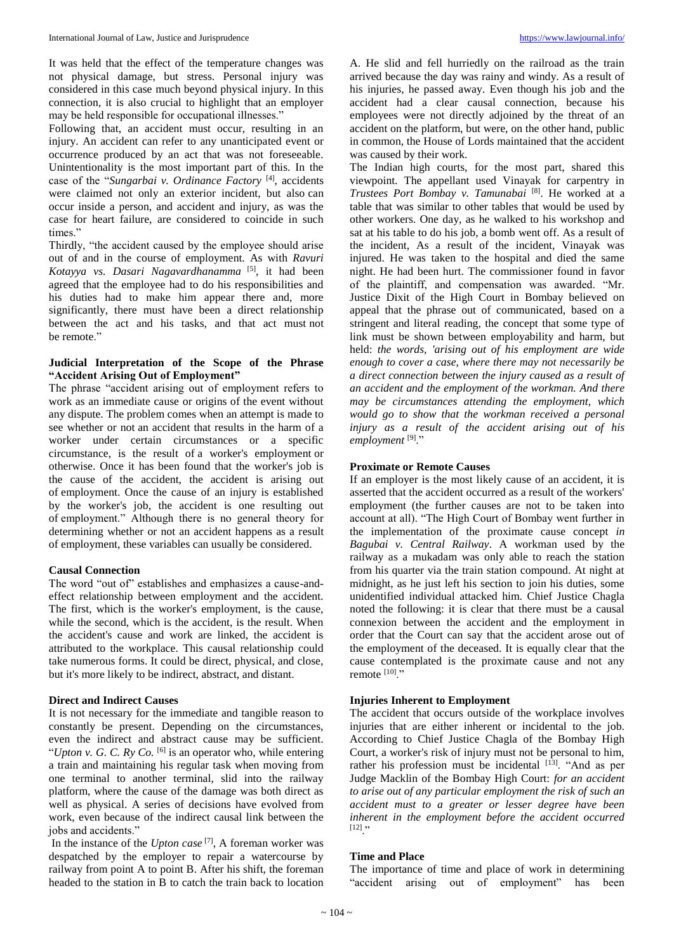It was held that the effect of the temperature changes was not physical damage, but stress. Personal injury was considered in this case much beyond physical injury. In this connection, it is also crucial to highlight that an employer may be held responsible for occupational illnesses."

Following that, an accident must occur, resulting in an injury. An accident can refer to any unanticipated event or occurrence produced by an act that was not foreseeable. Unintentionality is the most important part of this. In the case of the "*Sungarbai v. Ordinance Factory* [4] , accidents were claimed not only an exterior incident, but also can occur inside a person, and accident and injury, as was the case for heart failure, are considered to coincide in such times."

Thirdly, "the accident caused by the employee should arise out of and in the course of employment. As with *Ravuri Kotayya vs. Dasari Nagavardhanamma* [5] , it had been agreed that the employee had to do his responsibilities and his duties had to make him appear there and, more significantly, there must have been a direct relationship between the act and his tasks, and that act must not be remote."

# **Judicial Interpretation of the Scope of the Phrase "Accident Arising Out of Employment"**

The phrase "accident arising out of employment refers to work as an immediate cause or origins of the event without any dispute. The problem comes when an attempt is made to see whether or not an accident that results in the harm of a worker under certain circumstances or a specific circumstance, is the result of a worker's employment or otherwise. Once it has been found that the worker's job is the cause of the accident, the accident is arising out of employment. Once the cause of an injury is established by the worker's job, the accident is one resulting out of employment." Although there is no general theory for determining whether or not an accident happens as a result of employment, these variables can usually be considered.

## **Causal Connection**

The word "out of" establishes and emphasizes a cause-andeffect relationship between employment and the accident. The first, which is the worker's employment, is the cause, while the second, which is the accident, is the result. When the accident's cause and work are linked, the accident is attributed to the workplace. This causal relationship could take numerous forms. It could be direct, physical, and close, but it's more likely to be indirect, abstract, and distant.

## **Direct and Indirect Causes**

It is not necessary for the immediate and tangible reason to constantly be present. Depending on the circumstances, even the indirect and abstract cause may be sufficient. "*Upton v. G. C. Ry Co.*  $\left[6\right]$  is an operator who, while entering a train and maintaining his regular task when moving from one terminal to another terminal, slid into the railway platform, where the cause of the damage was both direct as well as physical. A series of decisions have evolved from work, even because of the indirect causal link between the jobs and accidents."

In the instance of the *Upton case* [7] , A foreman worker was despatched by the employer to repair a watercourse by railway from point A to point B. After his shift, the foreman headed to the station in B to catch the train back to location

A. He slid and fell hurriedly on the railroad as the train arrived because the day was rainy and windy. As a result of his injuries, he passed away. Even though his job and the accident had a clear causal connection, because his employees were not directly adjoined by the threat of an accident on the platform, but were, on the other hand, public in common, the House of Lords maintained that the accident was caused by their work.

The Indian high courts, for the most part, shared this viewpoint. The appellant used Vinayak for carpentry in *Trustees Port Bombay v. Tamunabai* [8] . He worked at a table that was similar to other tables that would be used by other workers. One day, as he walked to his workshop and sat at his table to do his job, a bomb went off. As a result of the incident, As a result of the incident, Vinayak was injured. He was taken to the hospital and died the same night. He had been hurt. The commissioner found in favor of the plaintiff, and compensation was awarded. "Mr. Justice Dixit of the High Court in Bombay believed on appeal that the phrase out of communicated, based on a stringent and literal reading, the concept that some type of link must be shown between employability and harm, but held: *the words, 'arising out of his employment are wide enough to cover a case, where there may not necessarily be a direct connection between the injury caused as a result of an accident and the employment of the workman. And there may be circumstances attending the employment, which would go to show that the workman received a personal injury as a result of the accident arising out of his employment* [9] ."

# **Proximate or Remote Causes**

If an employer is the most likely cause of an accident, it is asserted that the accident occurred as a result of the workers' employment (the further causes are not to be taken into account at all). "The High Court of Bombay went further in the implementation of the proximate cause concept *in Bagubai v. Central Railway*. A workman used by the railway as a mukadam was only able to reach the station from his quarter via the train station compound. At night at midnight, as he just left his section to join his duties, some unidentified individual attacked him. Chief Justice Chagla noted the following: it is clear that there must be a causal connexion between the accident and the employment in order that the Court can say that the accident arose out of the employment of the deceased. It is equally clear that the cause contemplated is the proximate cause and not any remote [10] ."

# **Injuries Inherent to Employment**

The accident that occurs outside of the workplace involves injuries that are either inherent or incidental to the job. According to Chief Justice Chagla of the Bombay High Court, a worker's risk of injury must not be personal to him, rather his profession must be incidental [13]. "And as per Judge Macklin of the Bombay High Court: *for an accident to arise out of any particular employment the risk of such an accident must to a greater or lesser degree have been inherent in the employment before the accident occurred*  $\left[ 12 \right]$ ."

## **Time and Place**

The importance of time and place of work in determining "accident arising out of employment" has been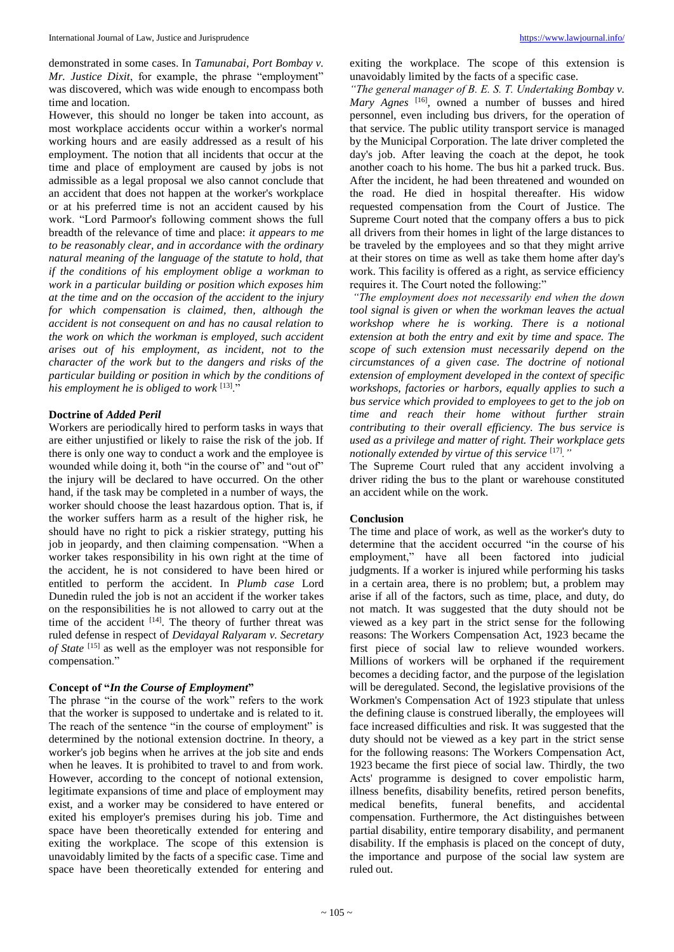demonstrated in some cases. In *Tamunabai, Port Bombay v. Mr. Justice Dixit*, for example, the phrase "employment" was discovered, which was wide enough to encompass both time and location.

However, this should no longer be taken into account, as most workplace accidents occur within a worker's normal working hours and are easily addressed as a result of his employment. The notion that all incidents that occur at the time and place of employment are caused by jobs is not admissible as a legal proposal we also cannot conclude that an accident that does not happen at the worker's workplace or at his preferred time is not an accident caused by his work. "Lord Parmoor's following comment shows the full breadth of the relevance of time and place: *it appears to me to be reasonably clear, and in accordance with the ordinary natural meaning of the language of the statute to hold, that if the conditions of his employment oblige a workman to work in a particular building or position which exposes him at the time and on the occasion of the accident to the injury for which compensation is claimed, then, although the accident is not consequent on and has no causal relation to the work on which the workman is employed, such accident arises out of his employment, as incident, not to the character of the work but to the dangers and risks of the particular building or position in which by the conditions of his employment he is obliged to work* [13] ."

# **Doctrine of** *Added Peril*

Workers are periodically hired to perform tasks in ways that are either unjustified or likely to raise the risk of the job. If there is only one way to conduct a work and the employee is wounded while doing it, both "in the course of" and "out of" the injury will be declared to have occurred. On the other hand, if the task may be completed in a number of ways, the worker should choose the least hazardous option. That is, if the worker suffers harm as a result of the higher risk, he should have no right to pick a riskier strategy, putting his job in jeopardy, and then claiming compensation. "When a worker takes responsibility in his own right at the time of the accident, he is not considered to have been hired or entitled to perform the accident. In *Plumb case* Lord Dunedin ruled the job is not an accident if the worker takes on the responsibilities he is not allowed to carry out at the time of the accident  $[14]$ . The theory of further threat was ruled defense in respect of *Devidayal Ralyaram v. Secretary of State* [15] as well as the employer was not responsible for compensation."

## **Concept of "***In the Course of Employment***"**

The phrase "in the course of the work" refers to the work that the worker is supposed to undertake and is related to it. The reach of the sentence "in the course of employment" is determined by the notional extension doctrine. In theory, a worker's job begins when he arrives at the job site and ends when he leaves. It is prohibited to travel to and from work. However, according to the concept of notional extension, legitimate expansions of time and place of employment may exist, and a worker may be considered to have entered or exited his employer's premises during his job. Time and space have been theoretically extended for entering and exiting the workplace. The scope of this extension is unavoidably limited by the facts of a specific case. Time and space have been theoretically extended for entering and

exiting the workplace. The scope of this extension is unavoidably limited by the facts of a specific case.

*"The general manager of B. E. S. T. Undertaking Bombay v. Mary Agnes* [16] , owned a number of busses and hired personnel, even including bus drivers, for the operation of that service. The public utility transport service is managed by the Municipal Corporation. The late driver completed the day's job. After leaving the coach at the depot, he took another coach to his home. The bus hit a parked truck. Bus. After the incident, he had been threatened and wounded on the road. He died in hospital thereafter. His widow requested compensation from the Court of Justice. The Supreme Court noted that the company offers a bus to pick all drivers from their homes in light of the large distances to be traveled by the employees and so that they might arrive at their stores on time as well as take them home after day's work. This facility is offered as a right, as service efficiency requires it. The Court noted the following:"

*"The employment does not necessarily end when the down tool signal is given or when the workman leaves the actual workshop where he is working. There is a notional extension at both the entry and exit by time and space. The scope of such extension must necessarily depend on the circumstances of a given case. The doctrine of notional extension of employment developed in the context of specific workshops, factories or harbors, equally applies to such a bus service which provided to employees to get to the job on time and reach their home without further strain contributing to their overall efficiency. The bus service is used as a privilege and matter of right. Their workplace gets notionally extended by virtue of this service* [17] *."*

The Supreme Court ruled that any accident involving a driver riding the bus to the plant or warehouse constituted an accident while on the work.

## **Conclusion**

The time and place of work, as well as the worker's duty to determine that the accident occurred "in the course of his employment," have all been factored into judicial judgments. If a worker is injured while performing his tasks in a certain area, there is no problem; but, a problem may arise if all of the factors, such as time, place, and duty, do not match. It was suggested that the duty should not be viewed as a key part in the strict sense for the following reasons: The Workers Compensation Act, 1923 became the first piece of social law to relieve wounded workers. Millions of workers will be orphaned if the requirement becomes a deciding factor, and the purpose of the legislation will be deregulated. Second, the legislative provisions of the Workmen's Compensation Act of 1923 stipulate that unless the defining clause is construed liberally, the employees will face increased difficulties and risk. It was suggested that the duty should not be viewed as a key part in the strict sense for the following reasons: The Workers Compensation Act, 1923 became the first piece of social law. Thirdly, the two Acts' programme is designed to cover empolistic harm, illness benefits, disability benefits, retired person benefits, medical benefits, funeral benefits, and accidental compensation. Furthermore, the Act distinguishes between partial disability, entire temporary disability, and permanent disability. If the emphasis is placed on the concept of duty, the importance and purpose of the social law system are ruled out.